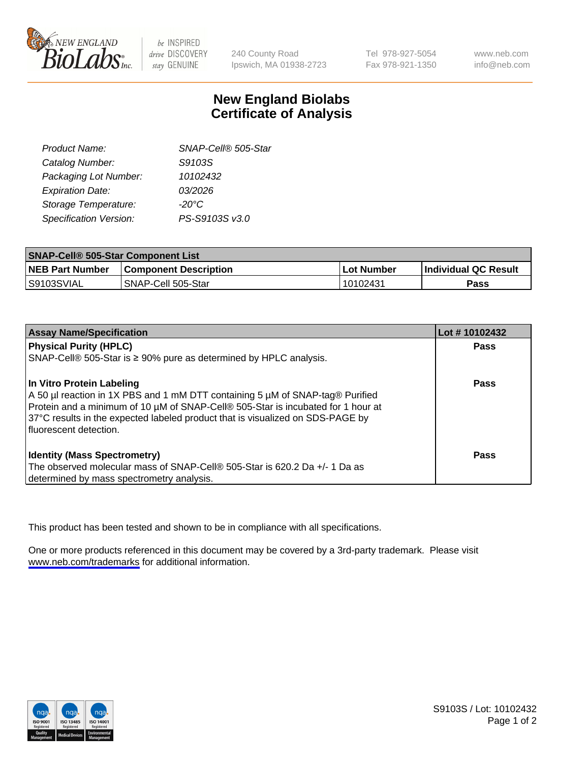

be INSPIRED drive DISCOVERY stay GENUINE

240 County Road Ipswich, MA 01938-2723 Tel 978-927-5054 Fax 978-921-1350

www.neb.com info@neb.com

## **New England Biolabs Certificate of Analysis**

| Product Name:           | SNAP-Cell® 505-Star |
|-------------------------|---------------------|
| Catalog Number:         | S9103S              |
| Packaging Lot Number:   | 10102432            |
| <b>Expiration Date:</b> | 03/2026             |
| Storage Temperature:    | $-20^{\circ}$ C     |
| Specification Version:  | PS-S9103S v3.0      |

| <b>SNAP-Cell® 505-Star Component List</b> |                              |            |                             |  |
|-------------------------------------------|------------------------------|------------|-----------------------------|--|
| <b>NEB Part Number</b>                    | <b>Component Description</b> | Lot Number | <b>Individual QC Result</b> |  |
| IS9103SVIAL                               | SNAP-Cell 505-Star           | 10102431   | Pass                        |  |

| <b>Assay Name/Specification</b>                                                                                                                                                                                                                                                                              | Lot #10102432 |
|--------------------------------------------------------------------------------------------------------------------------------------------------------------------------------------------------------------------------------------------------------------------------------------------------------------|---------------|
| <b>Physical Purity (HPLC)</b>                                                                                                                                                                                                                                                                                | <b>Pass</b>   |
| SNAP-Cell® 505-Star is ≥ 90% pure as determined by HPLC analysis.                                                                                                                                                                                                                                            |               |
| In Vitro Protein Labeling<br>A 50 µl reaction in 1X PBS and 1 mM DTT containing 5 µM of SNAP-tag® Purified<br>Protein and a minimum of 10 µM of SNAP-Cell® 505-Star is incubated for 1 hour at<br>37°C results in the expected labeled product that is visualized on SDS-PAGE by<br>I fluorescent detection. | Pass          |
| <b>Identity (Mass Spectrometry)</b><br>The observed molecular mass of SNAP-Cell® 505-Star is 620.2 Da +/- 1 Da as<br>determined by mass spectrometry analysis.                                                                                                                                               | Pass          |

This product has been tested and shown to be in compliance with all specifications.

One or more products referenced in this document may be covered by a 3rd-party trademark. Please visit <www.neb.com/trademarks>for additional information.